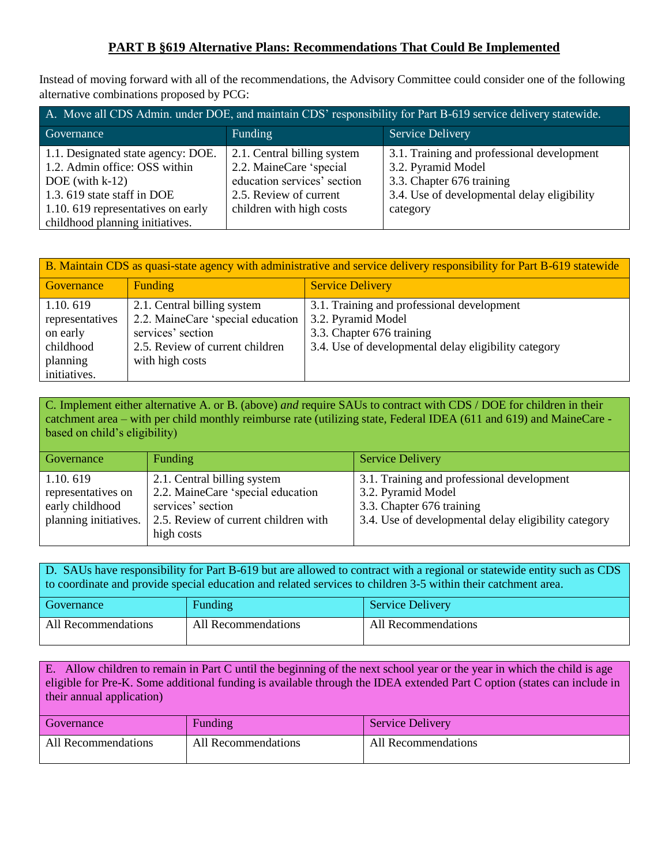## **PART B §619 Alternative Plans: Recommendations That Could Be Implemented**

Instead of moving forward with all of the recommendations, the Advisory Committee could consider one of the following alternative combinations proposed by PCG:

| A. Move all CDS Admin. under DOE, and maintain CDS' responsibility for Part B-619 service delivery statewide.                               |                                                                                                                                                          |  |  |  |
|---------------------------------------------------------------------------------------------------------------------------------------------|----------------------------------------------------------------------------------------------------------------------------------------------------------|--|--|--|
| Funding                                                                                                                                     | <b>Service Delivery</b>                                                                                                                                  |  |  |  |
| 2.1. Central billing system<br>2.2. MaineCare 'special<br>education services' section<br>2.5. Review of current<br>children with high costs | 3.1. Training and professional development<br>3.2. Pyramid Model<br>3.3. Chapter 676 training<br>3.4. Use of developmental delay eligibility<br>category |  |  |  |
|                                                                                                                                             |                                                                                                                                                          |  |  |  |

| B. Maintain CDS as quasi-state agency with administrative and service delivery responsibility for Part B-619 statewide |                                   |                                                      |  |  |
|------------------------------------------------------------------------------------------------------------------------|-----------------------------------|------------------------------------------------------|--|--|
| Governance                                                                                                             | <b>Funding</b>                    | <b>Service Delivery</b>                              |  |  |
| 1.10.619                                                                                                               | 2.1. Central billing system       | 3.1. Training and professional development           |  |  |
| representatives                                                                                                        | 2.2. MaineCare 'special education | 3.2. Pyramid Model                                   |  |  |
| on early                                                                                                               | services' section                 | 3.3. Chapter 676 training                            |  |  |
| childhood                                                                                                              | 2.5. Review of current children   | 3.4. Use of developmental delay eligibility category |  |  |
| planning                                                                                                               | with high costs                   |                                                      |  |  |
| initiatives.                                                                                                           |                                   |                                                      |  |  |

C. Implement either alternative A. or B. (above) *and* require SAUs to contract with CDS / DOE for children in their catchment area – with per child monthly reimburse rate (utilizing state, Federal IDEA (611 and 619) and MaineCare based on child's eligibility)

| Funding<br><b>Service Delivery</b><br>Governance                                                                                                                                                                                                                                                                                                                                   |  |
|------------------------------------------------------------------------------------------------------------------------------------------------------------------------------------------------------------------------------------------------------------------------------------------------------------------------------------------------------------------------------------|--|
| 3.1. Training and professional development<br>1.10.619<br>2.1. Central billing system<br>2.2. MaineCare 'special education<br>3.2. Pyramid Model<br>representatives on<br>services' section<br>3.3. Chapter 676 training<br>early childhood<br>planning initiatives.<br>3.4. Use of developmental delay eligibility category<br>2.5. Review of current children with<br>high costs |  |

D. SAUs have responsibility for Part B-619 but are allowed to contract with a regional or statewide entity such as CDS to coordinate and provide special education and related services to children 3-5 within their catchment area.

| Governance          | Funding             | <b>Service Delivery</b> |
|---------------------|---------------------|-------------------------|
| All Recommendations | All Recommendations | All Recommendations     |

E. Allow children to remain in Part C until the beginning of the next school year or the year in which the child is age eligible for Pre-K. Some additional funding is available through the IDEA extended Part C option (states can include in their annual application)

| Governance          | Funding             | <b>Service Delivery</b> |
|---------------------|---------------------|-------------------------|
| All Recommendations | All Recommendations | All Recommendations     |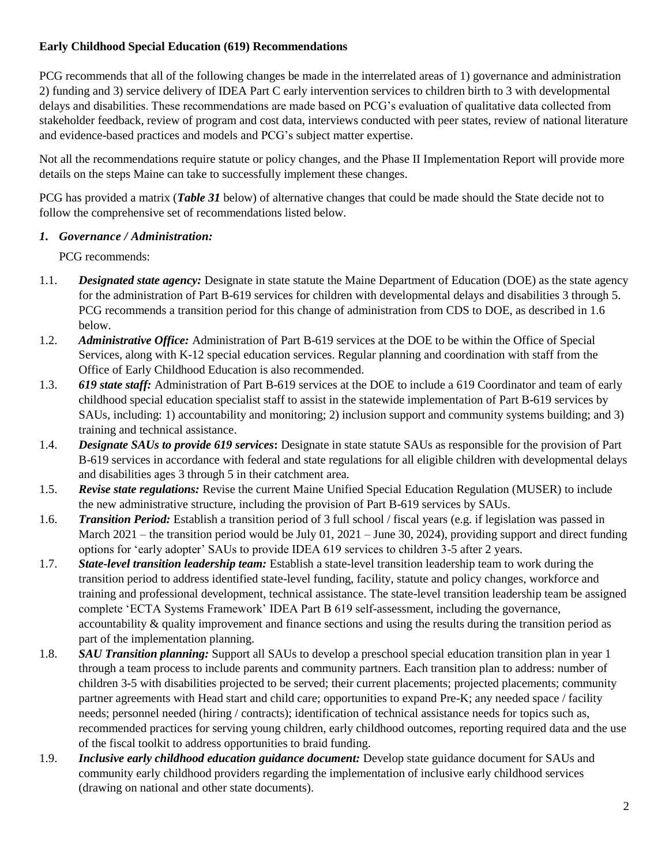### **Early Childhood Special Education (619) Recommendations**

PCG recommends that all of the following changes be made in the interrelated areas of 1) governance and administration 2) funding and 3) service delivery of IDEA Part C early intervention services to children birth to 3 with developmental delays and disabilities. These recommendations are made based on PCG's evaluation of qualitative data collected from stakeholder feedback, review of program and cost data, interviews conducted with peer states, review of national literature and evidence-based practices and models and PCG's subject matter expertise.

Not all the recommendations require statute or policy changes, and the Phase II Implementation Report will provide more details on the steps Maine can take to successfully implement these changes.

PCG has provided a matrix (*Table 31* below) of alternative changes that could be made should the State decide not to follow the comprehensive set of recommendations listed below.

### *1. Governance / Administration:*

PCG recommends:

- 1.1. *Designated state agency:* Designate in state statute the Maine Department of Education (DOE) as the state agency for the administration of Part B-619 services for children with developmental delays and disabilities 3 through 5. PCG recommends a transition period for this change of administration from CDS to DOE, as described in 1.6 below.
- 1.2. *Administrative Office:* Administration of Part B-619 services at the DOE to be within the Office of Special Services, along with K-12 special education services. Regular planning and coordination with staff from the Office of Early Childhood Education is also recommended.
- 1.3. *619 state staff:* Administration of Part B-619 services at the DOE to include a 619 Coordinator and team of early childhood special education specialist staff to assist in the statewide implementation of Part B-619 services by SAUs, including: 1) accountability and monitoring; 2) inclusion support and community systems building; and 3) training and technical assistance.
- 1.4. *Designate SAUs to provide 619 services***:** Designate in state statute SAUs as responsible for the provision of Part B-619 services in accordance with federal and state regulations for all eligible children with developmental delays and disabilities ages 3 through 5 in their catchment area.
- 1.5. *Revise state regulations:* Revise the current Maine Unified Special Education Regulation (MUSER) to include the new administrative structure, including the provision of Part B-619 services by SAUs.
- 1.6. *Transition Period:* Establish a transition period of 3 full school / fiscal years (e.g. if legislation was passed in March 2021 – the transition period would be July 01, 2021 – June 30, 2024), providing support and direct funding options for 'early adopter' SAUs to provide IDEA 619 services to children 3-5 after 2 years.
- 1.7. *State-level transition leadership team:* Establish a state-level transition leadership team to work during the transition period to address identified state-level funding, facility, statute and policy changes, workforce and training and professional development, technical assistance. The state-level transition leadership team be assigned complete 'ECTA Systems Framework' IDEA Part B 619 self-assessment, including the governance, accountability & quality improvement and finance sections and using the results during the transition period as part of the implementation planning.
- 1.8. *SAU Transition planning:* Support all SAUs to develop a preschool special education transition plan in year 1 through a team process to include parents and community partners. Each transition plan to address: number of children 3-5 with disabilities projected to be served; their current placements; projected placements; community partner agreements with Head start and child care; opportunities to expand Pre-K; any needed space / facility needs; personnel needed (hiring / contracts); identification of technical assistance needs for topics such as, recommended practices for serving young children, early childhood outcomes, reporting required data and the use of the fiscal toolkit to address opportunities to braid funding.
- 1.9. *Inclusive early childhood education guidance document:* Develop state guidance document for SAUs and community early childhood providers regarding the implementation of inclusive early childhood services (drawing on national and other state documents).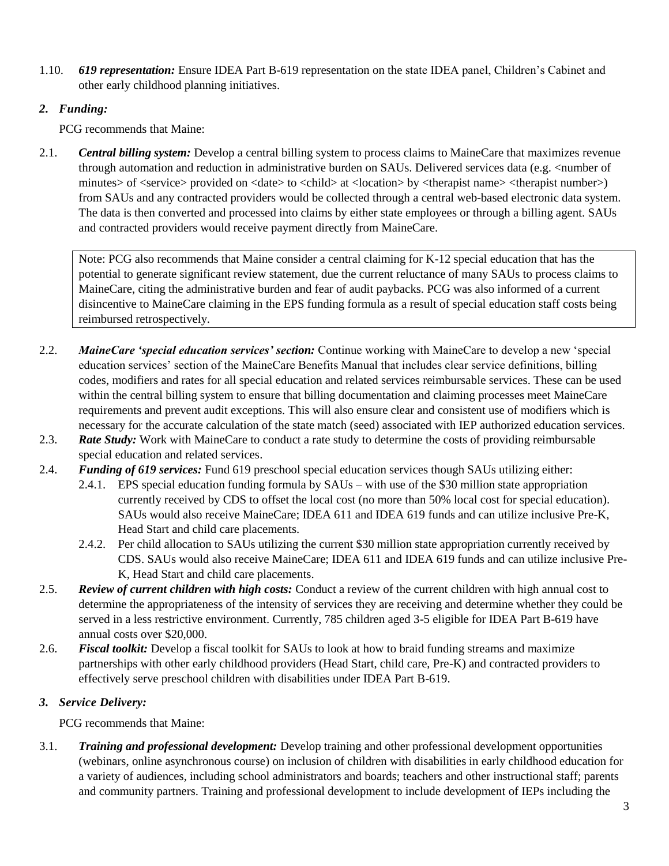1.10. *619 representation:* Ensure IDEA Part B-619 representation on the state IDEA panel, Children's Cabinet and other early childhood planning initiatives.

## *2. Funding:*

PCG recommends that Maine:

2.1. *Central billing system:* Develop a central billing system to process claims to MaineCare that maximizes revenue through automation and reduction in administrative burden on SAUs. Delivered services data (e.g. <number of minutes> of <service> provided on <date> to <child> at <location> by <therapist name> <therapist number>) from SAUs and any contracted providers would be collected through a central web-based electronic data system. The data is then converted and processed into claims by either state employees or through a billing agent. SAUs and contracted providers would receive payment directly from MaineCare.

Note: PCG also recommends that Maine consider a central claiming for K-12 special education that has the potential to generate significant review statement, due the current reluctance of many SAUs to process claims to MaineCare, citing the administrative burden and fear of audit paybacks. PCG was also informed of a current disincentive to MaineCare claiming in the EPS funding formula as a result of special education staff costs being reimbursed retrospectively.

- 2.2. *MaineCare 'special education services' section:* Continue working with MaineCare to develop a new 'special education services' section of the MaineCare Benefits Manual that includes clear service definitions, billing codes, modifiers and rates for all special education and related services reimbursable services. These can be used within the central billing system to ensure that billing documentation and claiming processes meet MaineCare requirements and prevent audit exceptions. This will also ensure clear and consistent use of modifiers which is necessary for the accurate calculation of the state match (seed) associated with IEP authorized education services.
- 2.3. *Rate Study:* Work with MaineCare to conduct a rate study to determine the costs of providing reimbursable special education and related services.
- 2.4. *Funding of 619 services:* Fund 619 preschool special education services though SAUs utilizing either:
	- 2.4.1. EPS special education funding formula by SAUs with use of the \$30 million state appropriation currently received by CDS to offset the local cost (no more than 50% local cost for special education). SAUs would also receive MaineCare; IDEA 611 and IDEA 619 funds and can utilize inclusive Pre-K, Head Start and child care placements.
	- 2.4.2. Per child allocation to SAUs utilizing the current \$30 million state appropriation currently received by CDS. SAUs would also receive MaineCare; IDEA 611 and IDEA 619 funds and can utilize inclusive Pre-K, Head Start and child care placements.
- 2.5. *Review of current children with high costs:* Conduct a review of the current children with high annual cost to determine the appropriateness of the intensity of services they are receiving and determine whether they could be served in a less restrictive environment. Currently, 785 children aged 3-5 eligible for IDEA Part B-619 have annual costs over \$20,000.
- 2.6. *Fiscal toolkit:* Develop a fiscal toolkit for SAUs to look at how to braid funding streams and maximize partnerships with other early childhood providers (Head Start, child care, Pre-K) and contracted providers to effectively serve preschool children with disabilities under IDEA Part B-619.

# *3. Service Delivery:*

PCG recommends that Maine:

3.1. *Training and professional development:* Develop training and other professional development opportunities (webinars, online asynchronous course) on inclusion of children with disabilities in early childhood education for a variety of audiences, including school administrators and boards; teachers and other instructional staff; parents and community partners. Training and professional development to include development of IEPs including the